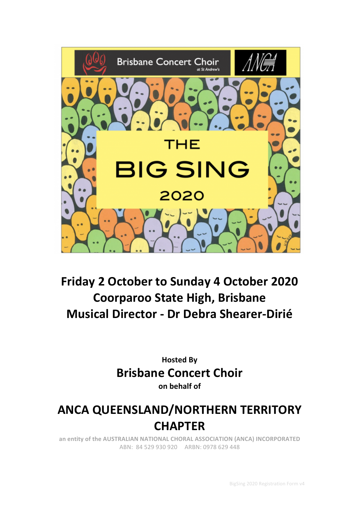

# **Friday 2 October to Sunday 4 October 2020 Coorparoo State High, Brisbane Musical Director - Dr Debra Shearer-Dirié**

**Hosted By Brisbane Concert Choir on behalf of**

# **ANCA QUEENSLAND/NORTHERN TERRITORY CHAPTER**

an entity of the AUSTRALIAN NATIONAL CHORAL ASSOCIATION (ANCA) INCORPORATED ABN: 84 529 930 920 ARBN: 0978 629 448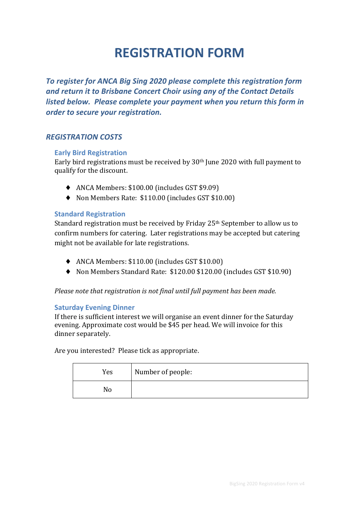# **REGISTRATION FORM**

To register for ANCA Big Sing 2020 please complete this registration form **and return it to Brisbane Concert Choir using any of the Contact Details** *listed below. Please complete your payment when you return this form in order to secure your registration.* 

# *REGISTRATION COSTS*

## **Early Bird Registration**

Early bird registrations must be received by  $30<sup>th</sup>$  June 2020 with full payment to qualify for the discount.

- ◆ ANCA Members: \$100.00 (includes GST \$9.09)
- ♦ Non Members Rate: \$110.00 (includes GST \$10.00)

## **Standard Registration**

Standard registration must be received by Friday  $25<sup>th</sup>$  September to allow us to confirm numbers for catering. Later registrations may be accepted but catering might not be available for late registrations.

- ◆ ANCA Members: \$110.00 (includes GST \$10.00)
- ◆ Non Members Standard Rate: \$120.00 \$120.00 (includes GST \$10.90)

*Please note that registration is not final until full payment has been made.* 

## **Saturday Evening Dinner**

If there is sufficient interest we will organise an event dinner for the Saturday evening. Approximate cost would be \$45 per head. We will invoice for this dinner separately.

Are you interested? Please tick as appropriate.

| Yes | Number of people: |
|-----|-------------------|
|     |                   |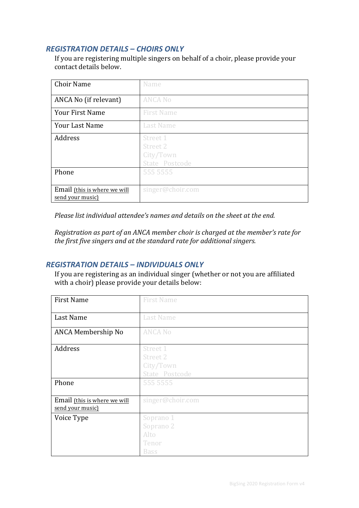# *REGISTRATION DETAILS – CHOIRS ONLY*

If you are registering multiple singers on behalf of a choir, please provide your contact details below.

| <b>Choir Name</b>                                | Name                                                |
|--------------------------------------------------|-----------------------------------------------------|
| ANCA No (if relevant)                            | <b>ANCA No</b>                                      |
| <b>Your First Name</b>                           | <b>First Name</b>                                   |
| <b>Your Last Name</b>                            | <b>Last Name</b>                                    |
| Address                                          | Street 1<br>Street 2<br>City/Town<br>State Postcode |
| Phone                                            | 555 5555                                            |
| Email (this is where we will<br>send your music) | singer@choir.com                                    |

*Please list individual attendee's names and details on the sheet at the end.* 

*Registration as part of an ANCA member choir is charged at the member's rate for the first five singers and at the standard rate for additional singers.* 

## *REGISTRATION DETAILS – INDIVIDUALS ONLY*

If you are registering as an individual singer (whether or not you are affiliated with a choir) please provide your details below:

| <b>First Name</b>                                | <b>First Name</b>                                          |
|--------------------------------------------------|------------------------------------------------------------|
| Last Name                                        | <b>Last Name</b>                                           |
| ANCA Membership No                               | <b>ANCA No</b>                                             |
| Address                                          | Street 1<br><b>Street 2</b><br>City/Town<br>State Postcode |
| Phone                                            | 555 5555                                                   |
| Email (this is where we will<br>send your music) | singer@choir.com                                           |
| Voice Type                                       | Soprano 1<br>Soprano 2<br>Alto<br>Tenor<br><b>Bass</b>     |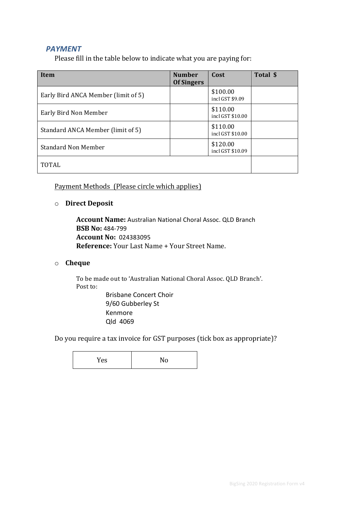# **PAYMENT**

Please fill in the table below to indicate what you are paying for:

| Item                                | <b>Number</b><br><b>Of Singers</b> | Cost                         | Total \$ |
|-------------------------------------|------------------------------------|------------------------------|----------|
| Early Bird ANCA Member (limit of 5) |                                    | \$100.00<br>incl GST \$9.09  |          |
| Early Bird Non Member               |                                    | \$110.00<br>incl GST \$10.00 |          |
| Standard ANCA Member (limit of 5)   |                                    | \$110.00<br>incl GST \$10.00 |          |
| <b>Standard Non Member</b>          |                                    | \$120.00<br>incl GST \$10.09 |          |
| <b>TOTAL</b>                        |                                    |                              |          |

Payment Methods (Please circle which applies)

o **Direct Deposit**

**Account Name:** Australian National Choral Assoc. QLD Branch **BSB No:** 484-799 **Account No: 024383095 Reference:** Your Last Name + Your Street Name.

### o **Cheque**

To be made out to 'Australian National Choral Assoc. QLD Branch'. Post to: **Brisbane Concert Choir** 

9/60 Gubberley St Kenmore Qld 4069

Do you require a tax invoice for GST purposes (tick box as appropriate)?

| r es | 11 T<br>. . |
|------|-------------|
|------|-------------|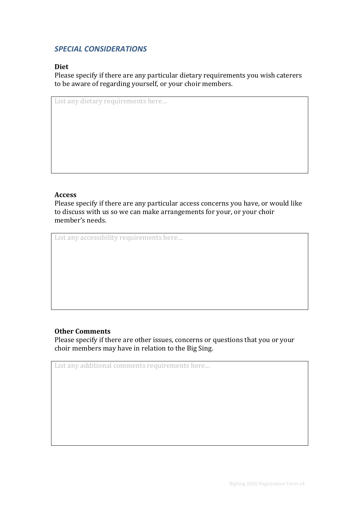# *SPECIAL CONSIDERATIONS*

## **Diet**

Please specify if there are any particular dietary requirements you wish caterers to be aware of regarding yourself, or your choir members.

List any dietary requirements here...

### **Access**

Please specify if there are any particular access concerns you have, or would like to discuss with us so we can make arrangements for your, or your choir member's needs.

List any accessibility requirements here...

### **Other Comments**

Please specify if there are other issues, concerns or questions that you or your choir members may have in relation to the Big Sing.

List any additional comments requirements here...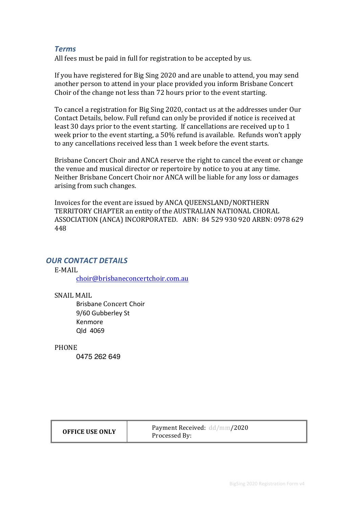## *Terms*

All fees must be paid in full for registration to be accepted by us.

If you have registered for Big Sing 2020 and are unable to attend, you may send another person to attend in your place provided you inform Brisbane Concert Choir of the change not less than 72 hours prior to the event starting.

To cancel a registration for Big Sing 2020, contact us at the addresses under Our Contact Details, below. Full refund can only be provided if notice is received at least 30 days prior to the event starting. If cancellations are received up to 1 week prior to the event starting, a 50% refund is available. Refunds won't apply to any cancellations received less than 1 week before the event starts.

Brisbane Concert Choir and ANCA reserve the right to cancel the event or change the venue and musical director or repertoire by notice to you at any time. Neither Brisbane Concert Choir nor ANCA will be liable for any loss or damages arising from such changes.

Invoices for the event are issued by ANCA QUEENSLAND/NORTHERN TERRITORY CHAPTER an entity of the AUSTRALIAN NATIONAL CHORAL ASSOCIATION (ANCA) INCORPORATED. ABN: 84 529 930 920 ARBN: 0978 629 448

## **OUR CONTACT DETAILS**

#### E-MAIL

choir@brisbaneconcertchoir.com.au

### SNAIL MAIL

Brisbane Concert Choir 9/60 Gubberley St Kenmore Qld 4069

#### PHONE

0475 262 649

| <b>Payment Received:</b> dd/mm <b>/2020</b><br><b>OFFICE USE ONLY</b><br>Processed By: |
|----------------------------------------------------------------------------------------|
|----------------------------------------------------------------------------------------|